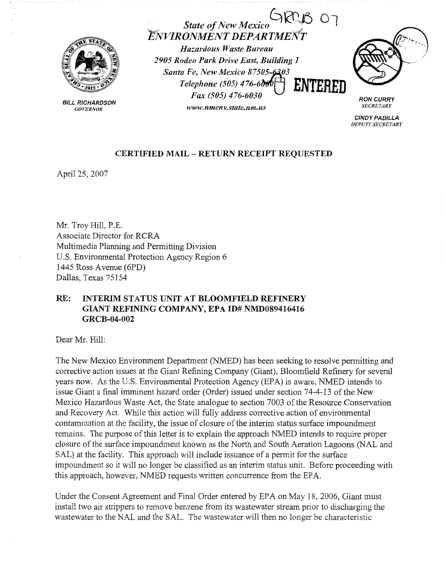

BILL RICHARDSON *GOVERNOR* 

State of New Mexico ARCB 07  $ENVIRONMENT DEPARIME$ 

*Hazardous Waste Bureau 2905 Rodeo Park Drive East, Building 1*  **Santa Fe, New Mexico 87505-6303** *Telephone (505) 476-6~0* **ENTERED**  *Fax (505) 476-6030* 

*www.nmenv.state.nm.us* 

**RON CURRY**  *SECRETARY* 

**CINDY PADILLA**  *DEPUTY SECRETARY* 

## **CERTIFIED MAIL** - **RETURN RECEIPT REQUESTED**

April 25, 2007

Mr. Troy Hill, P.E. Associate Director for RCRA Multimedia Planning and Permitting Division U.S. Environmental Protection Agency Region 6 1445 Ross Avenue (6PD) Dallas, Texas 75154

## **RE: INTERIM STATUS UNIT AT BLOOMFIELD REFINERY GIANT REFINING COMPANY, EPA ID# NMD089416416 GRCB-04-002**

Dear Mr. Hill:

The New Mexico Environment Department (NMED) has been seeking to resolve permitting and corrective action issues at the Giant Refining Company (Giant), Bloomfield Refinery for several years now. As the U.S. Environmental Protection Agency (EPA) is aware, NMED intends to issue Giant a final imminent hazard order (Order) issued under section 74-4-13 of the New Mexico Hazardous Waste Act, the State analogue to section 7003 of the Resource Conservation and Recovery Act. While this action will fully address corrective action of environmental contamination at the facility, the issue of closure of the interim status surface impoundment remains. The purpose of this letter is to explain the approach NMED intends to require proper closure of the surface impoundment known as the North and South Aeration Lagoons (NAL and SAL) at the facility. This approach will include issuance of a permit for the surface impoundment so it will no longer be classified as an interim status unit. Before proceeding with this approach, however, NMED requests written concurrence from the EPA.

Under the Consent Agreement and Final Order entered by EPA on May 18, 2006, Giant must install two air strippers to remove benzene from its wastewater stream prior to discharging the wastewater to the NAL and the SAL. The wastewater will then no longer be characteristic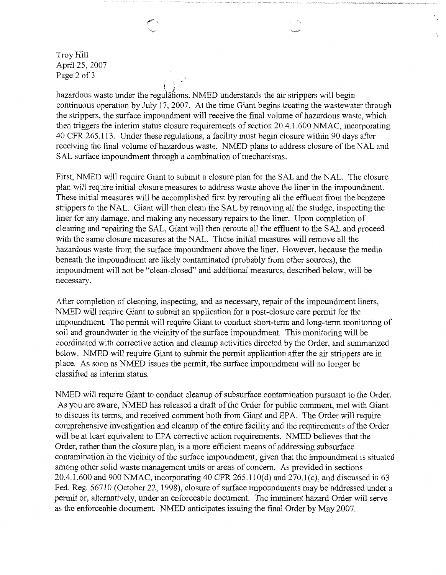Troy Hill April 25, 2007 Page 2 of 3

hazardous waste under the regulations. NMED understands the air strippers will begin continuous operation by July 17, 2007. At the time Giant begins treating the wastewater through the strippers, the surface impoundment will receive the final volume of hazardous waste, which then triggers the interim status closure requirements of section 20.4.1.600 NMAC, incorporating 40 CFR 265 .113. Under these regulations, a facility must begin closure within 90 days after receiving the final volume of hazardous waste. NMED plans to address closure of the NAL and SAL surface impoundment through a combination of mechanisms.

 $\mathbf{\hat{L}}$ 

First, NMED will require Giant to submit a closure plan for the SAL and the NAL. The closure plan will require initial closure measures to address waste above the liner in the impoundment. These initial measures will be accomplished first by rerouting all the effluent from the benzene strippers to the NAL. Giant will then clean the SAL by removing all the sludge, inspecting the liner for any damage, and making any necessary repairs to the liner. Upon completion of cleaning and repairing the SAL, Giant will then reroute all the effluent to the SAL and proceed with the same closure measures at the NAL. These initial measures will remove all the hazardous waste from the surface impoundment above the liner. However, because the media beneath the impoundment are likely contaminated (probably from other sources), the impoundment will not be "clean-closed" and additional measures, described below, will be necessary.

After completion of cleaning, inspecting, and as necessary, repair of the impoundment liners, NMED will require Giant to submit an application for a post-closure care permit for the impoundment. The permit will require Giant to conduct short-term and long-term monitoring of soil and groundwater in the vicinity of the surface impoundment. This monitoring will be coordinated with corrective action and cleanup activities directed by the Order, and summarized below. NMED will require Giant to submit the permit application after the air strippers are in place. As soon as NMED issues the permit, the surface impoundment will no longer be classified as interim status.

NMED will require Giant to conduct cleanup of subsurface contamination pursuant to the Order. As you are aware, NMED has released a draft of the Order for public comment, met with Giant to discuss its terms, and received comment both from Giant and EPA. The Order will require comprehensive investigation and cleanup of the entire facility and the requirements of the Order will be at least equivalent to EPA corrective action requirements. NMED believes that the Order, rather than the closure plan, is a more efficient means of addressing subsurface contamination in the vicinity of the surface impoundment, given that the impoundment is situated among other solid waste management units or areas of concern. As provided in sections 20.4.1.600 and 900 NMAC, incorporating 40 CFR 265.110(d) and 270.1(c), and discussed in 63 Fed. Reg. 56710 (October 22, 1998), closure of surface impoundments maybe addressed under a permit or, alternatively, under an enforceable document. The imminent hazard Order will serve as the enforceable document. NMED anticipates issuing the final Order by May 2007.